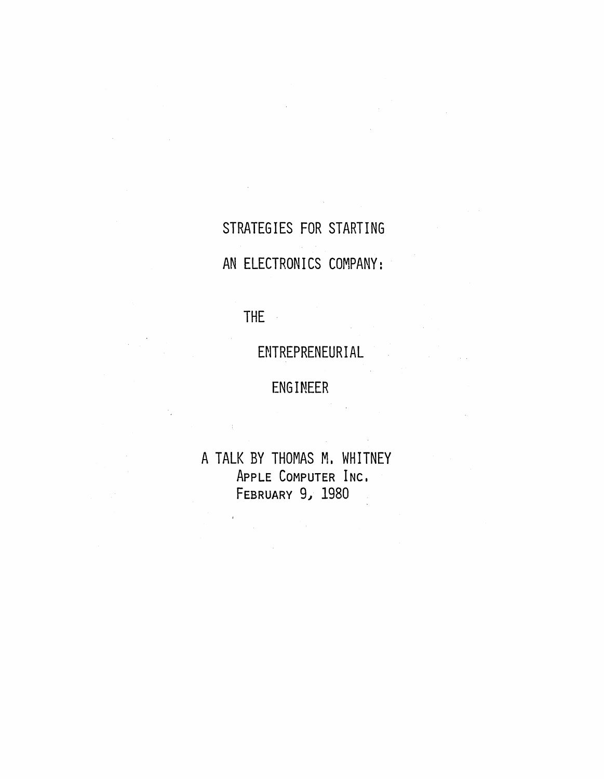STRATEGIES FOR STARTING AN ELECTRONICS COMPANY:

THE

 $\frac{1}{4}$ 

 $\bar{r}$ 

 $\mathcal{L}(\mathcal{A})$  and  $\mathcal{L}(\mathcal{A})$  and  $\mathcal{L}(\mathcal{A})$  and  $\mathcal{L}(\mathcal{A})$ 

ENTREPRENEURIAL

ENGINEER

A TALK BY THOMAS M. WHITNEY ApPLE COMPUTER INC. FEBRUARY *9.1 1980* 

 $\sim$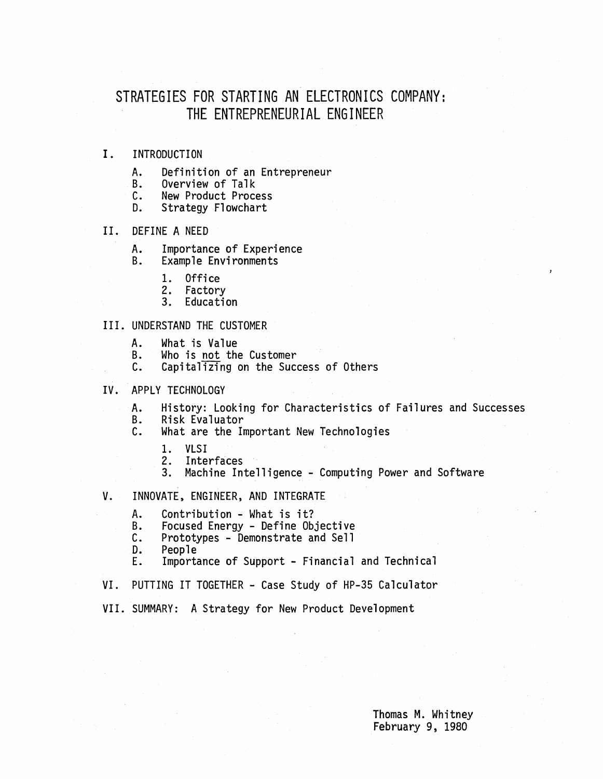#### STRATEGIES FOR STARTING AN ELECTRONICS COMPANY: THE ENTREPRENEURIAL ENGINEER

#### I. INTRODUCTION

- A. Definition of an Entrepreneur<br>B. Overview of Talk<br>C. New Product Process
- 
- C. New Product Process<br>D. Strategy Flowchart
- Strategy Flowchart

#### II. DEFINE A NEED

- A. Importance of Experience<br>B. Example Environments
- Example Environments
	- 1. Office<br>2. Factory
	-
	- 3. Education

#### III. UNDERSTAND THE CUSTOMER

- A. What is Value
- B. Who is not the Customer<br>C. Capitalizing on the Suce
- Capitalizing on the Success of Others
- IV. APPLY TECHNOLOGY
	- A. History: Looking for Characteristics of Failures and Successes<br>B. Risk Evaluator
	- - B. Risk Evaluator What are the Important New Technologies
			- 1. VLSI
			- 2. Interfaces
			- 3. Machine Intelligence Computing Power and Software
- V. INNOVATE, ENGINEER, AND INTEGRATE
	- A. Contribution What is it?<br>B. Focused Energy Define Ob.
	- B. Focused Energy Define Objective<br>C. Prototypes Demonstrate and Sell<br>D. People
	-
	-
	- D. People<br>E. Importance of Support Financial and Technical
- VI. PUTTING IT TOGETHER Case Study of HP-35 Calculator
- VII. SUMMARY: A Strategy for New Product Development

Thomas M. Whitney February 9, 1980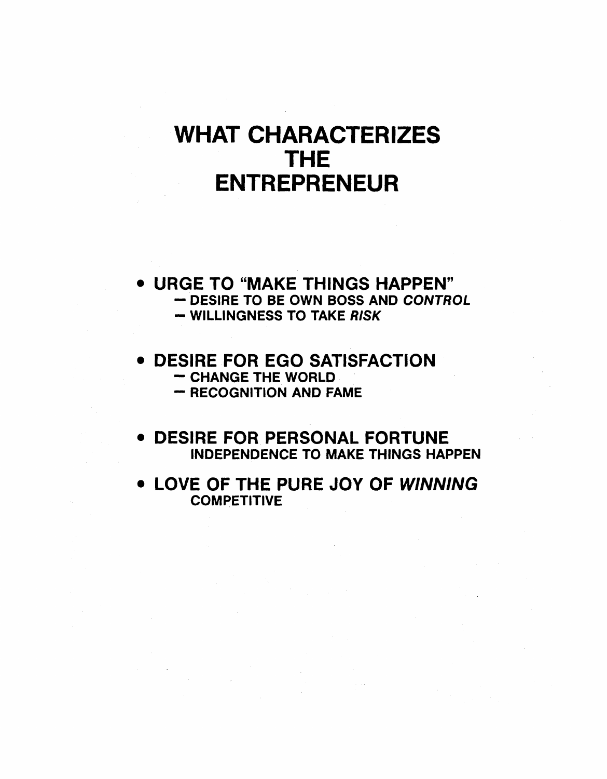# WHAT CHARACTERIZES THE ENTREPRENEUR

- URGE TO "MAKE THINGS HAPPEN" DESIRE TO BE OWN BOSS AND CONTROL - WILLINGNESS TO TAKE RISK
- DESIRE FOR EGO SATISFACTION CHANGE THE WORLD
	-
	- RECOGNITION AND FAME
- DESIRE FOR PERSONAL FORTUNE INDEPENDENCE TO MAKE THINGS HAPPEN
- LOVE OF THE PURE JOY OF WINNING **COMPETITIVE**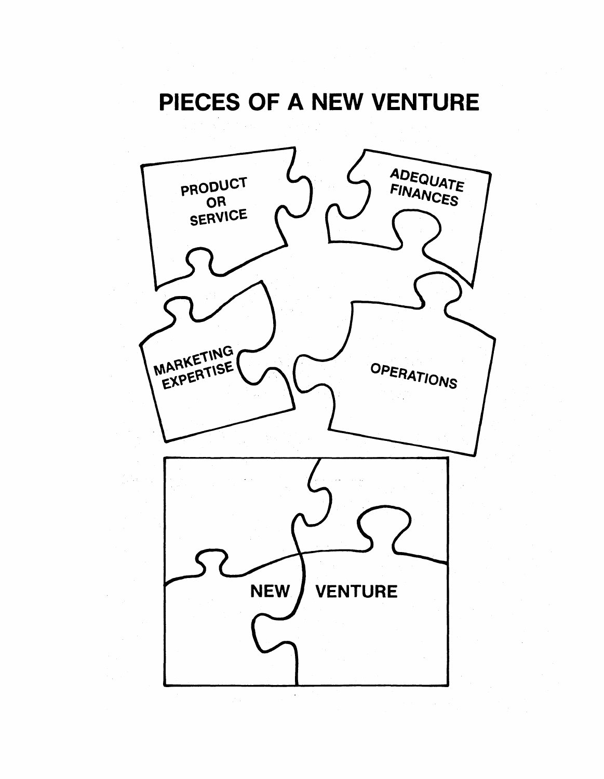# PIECES OF A NEW VENTURE

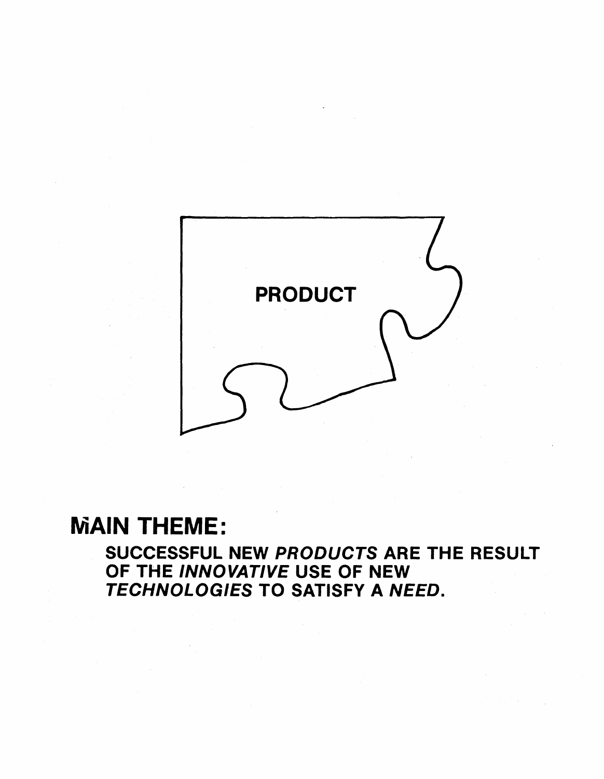

# MAIN THEME:

SUCCESSFUL NEW PRODUCTS ARE THE RESULT OF THE INNOVATIVE USE OF NEW TECHNOLOGIES TO SATISFY A NEED.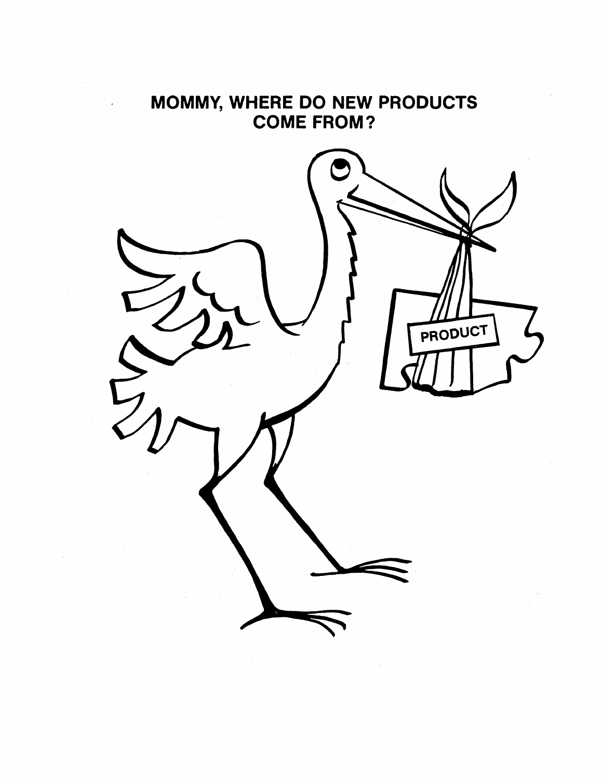# MOMMY, WHERE DO NEW PRODUCTS COME FROM?

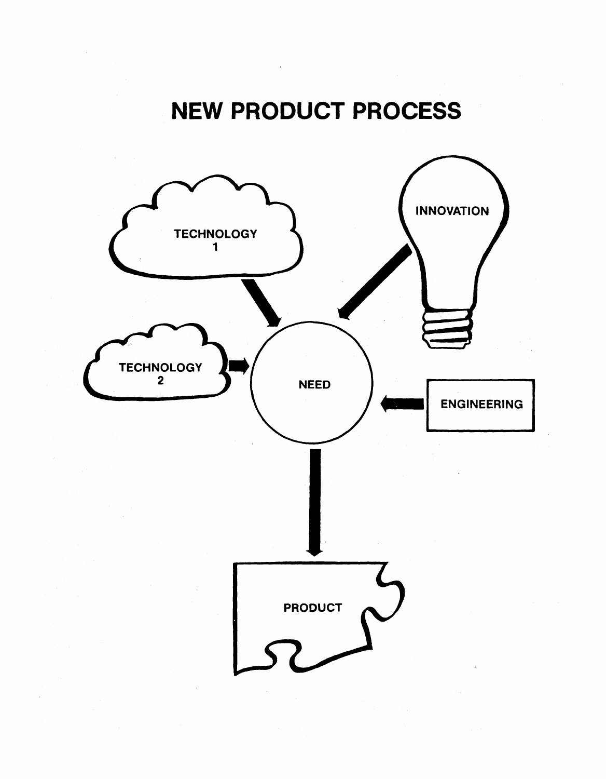# NEW PRODUCT PROCESS

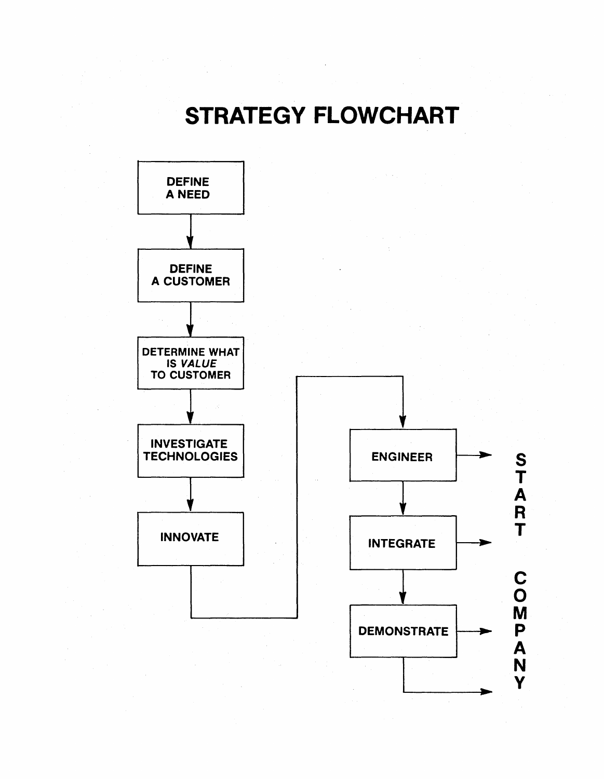# STRATEGY FLOWCHART



--

Y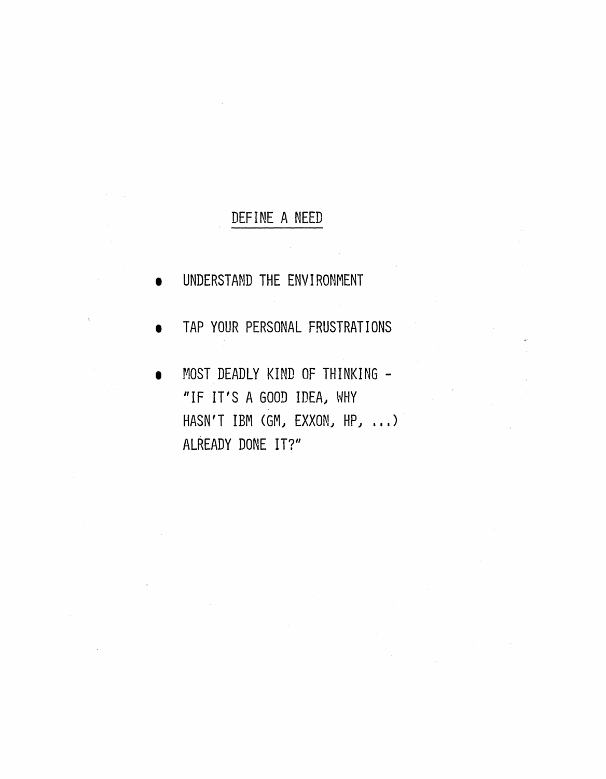#### DEFINE A NEED

- UNDERSTAND THE ENVIRONMENT
- **TAP YOUR PERSONAL FRUSTRATIONS**
- MOST DEADLY KIND OF THINKING -"IF IT'S A GOOD IDEAJ WHY HASN'T IBM (GM, EXXON, HP, ...) ALREADY DONE IT?"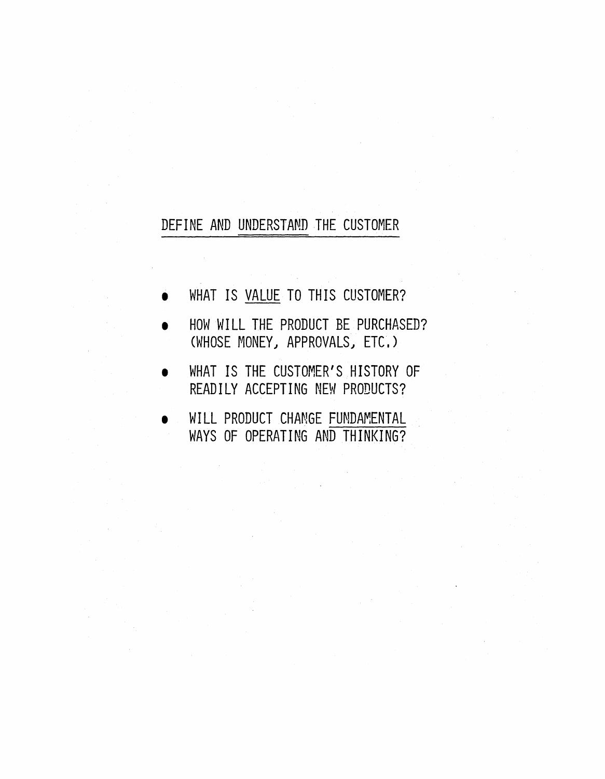#### DEFINE AND UNDERSTAND THE CUSTOMER

- WHAT IS VALUE TO THIS CUSTOMER?
- HOW WILL THE PRODUCT BE PURCHASED? (WHOSE MONEY) APPROVALS) ETC.)
- WHAT IS THE CUSTOMER'S HISTORY OF READILY ACCEPTING NEW PRODUCTS?
- WILL PRODUCT CHANGE FUNDAMENTAL WAYS OF OPERATING AND THINKING?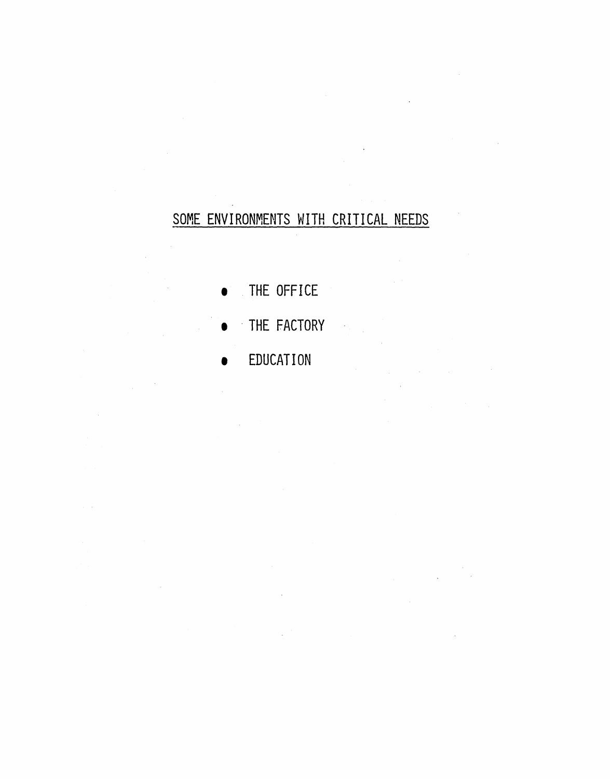# SOME ENVIRONMENTS WITH CRITICAL NEEDS

 $\sim$ 

- THE OFFICE
- . THE FACTORY

 $\mathcal{L}$ 

• EDUCATION

 $\hat{\boldsymbol{\beta}}$ 

 $\omega \rightarrow \omega$ 

 $\lambda$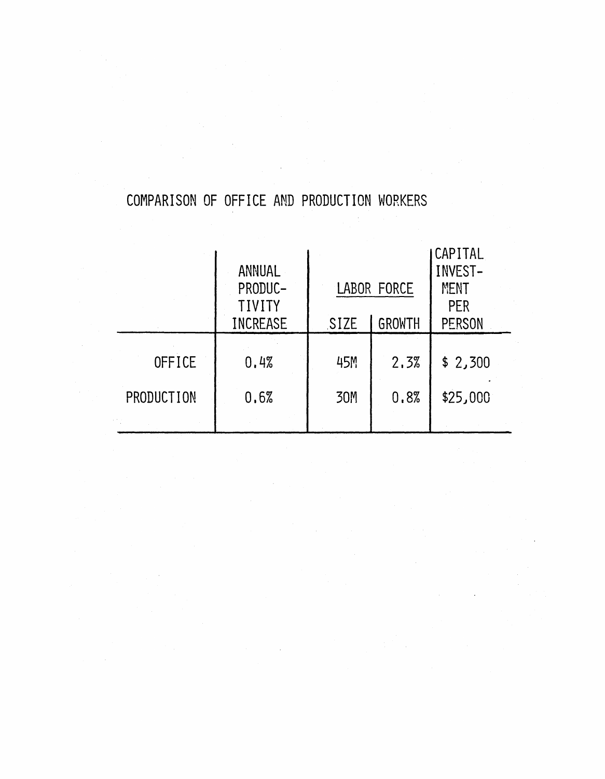# COMPARISON OF OFFICE AND PRODUCTION WORKERS

|            | <b>ANNUAL</b><br>PRODUC-<br><b>TIVITY</b> | LABOR FORCE |               | <b>CAPITAL</b><br>INVEST-<br><b>MENT</b><br><b>PER</b> |
|------------|-------------------------------------------|-------------|---------------|--------------------------------------------------------|
|            | <b>INCREASE</b>                           | SIZE        | <b>GROWTH</b> | <b>PERSON</b>                                          |
| OFFICE     | 0.4%                                      | 45M         | 2.3%          | \$2,300                                                |
| PRODUCTION | 0.6%                                      | 30M         | 0.8%          | \$25,000                                               |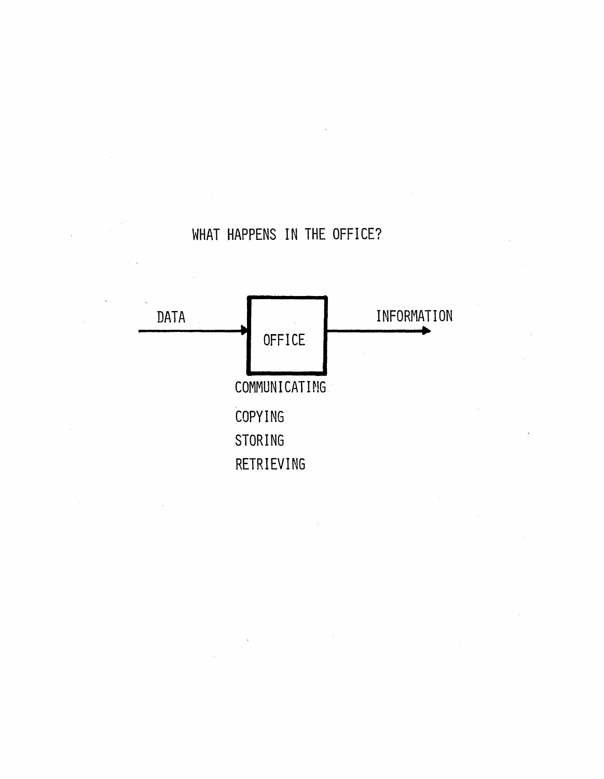# WHAT HAPPENS IN THE OFFICE?

![](_page_12_Figure_1.jpeg)

 $\mathcal{L}_{\mathcal{A}}$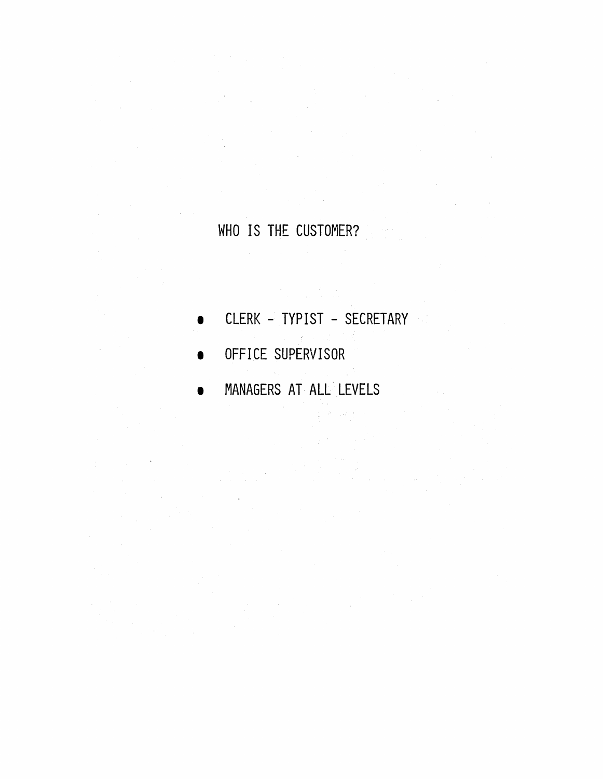# WHO IS THE CUSTOMER?

CLERK - TYPIST - SECRETARY  $\sim$   $\epsilon$  .

 $\label{eq:2.1} \begin{array}{l} \mathcal{L}_{\text{max}} = \frac{1}{2} \left( \frac{1}{2} \right) \left( \frac{1}{2} \right) \left( \frac{1}{2} \right) \left( \frac{1}{2} \right) \left( \frac{1}{2} \right) \left( \frac{1}{2} \right) \left( \frac{1}{2} \right) \left( \frac{1}{2} \right) \left( \frac{1}{2} \right) \left( \frac{1}{2} \right) \left( \frac{1}{2} \right) \left( \frac{1}{2} \right) \left( \frac{1}{2} \right) \left( \frac{1}{2} \right) \left($ 

OFFICE SUPERVISOR

 $\sim 10$ 

• MANAGERS AT ALL' LEVELS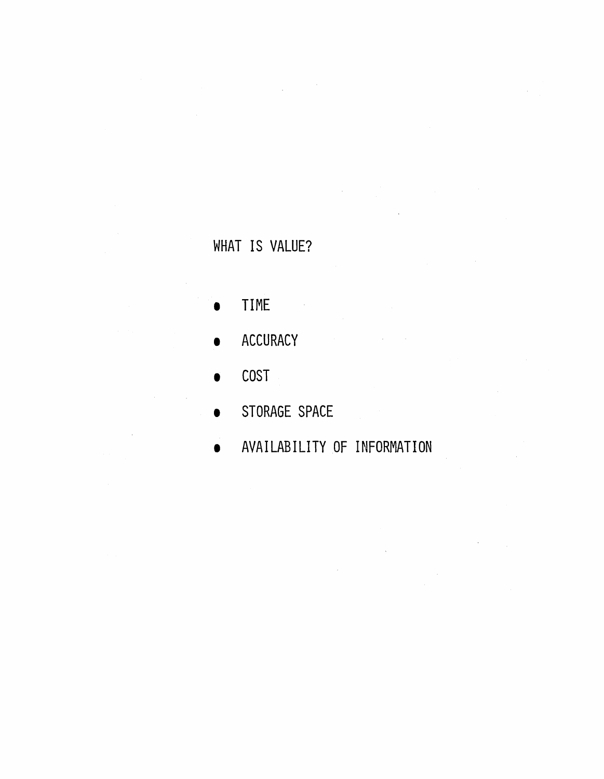# WHAT IS VALUE?

 $\mathcal{L}_{\mathcal{L}}$ 

- TIME
- **ACCURACY**
- COST
- STORAGE SPACE
- AVAILABILITY OF INFORMATION

 $\label{eq:2.1} \frac{1}{2}\int_{\mathbb{R}^3}\frac{1}{\sqrt{2\pi}}\left(\frac{1}{\sqrt{2\pi}}\right)^2\frac{1}{\sqrt{2\pi}}\left(\frac{1}{\sqrt{2\pi}}\right)^2\frac{1}{\sqrt{2\pi}}\left(\frac{1}{\sqrt{2\pi}}\right)^2\frac{1}{\sqrt{2\pi}}\frac{1}{\sqrt{2\pi}}\frac{1}{\sqrt{2\pi}}\frac{1}{\sqrt{2\pi}}\frac{1}{\sqrt{2\pi}}\frac{1}{\sqrt{2\pi}}\frac{1}{\sqrt{2\pi}}\frac{1}{\sqrt{2\pi}}\frac{1}{\sqrt{$ 

 $\sim 10^7$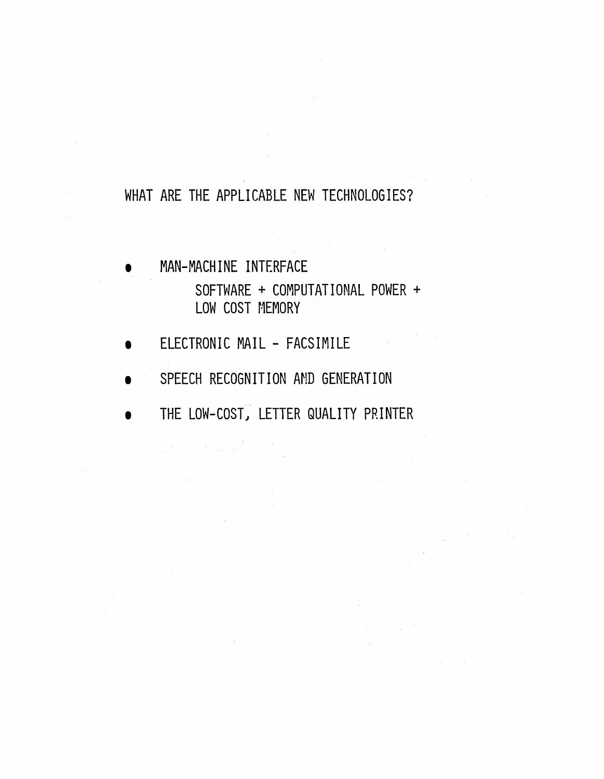#### WHAT ARE THE APPLICABLE NEW TECHNOLOGIES?

- MAN-MACHINE INTERFACE SOFTWARE + COMPUTATIONAL POWER + LOW COST MEMORY
- ELECTRONIC MAIL FACSIMILE
- SPEECH RECOGNITION AND GENERATION
- THE LOW-COST, LETTER QUALITY PRINTER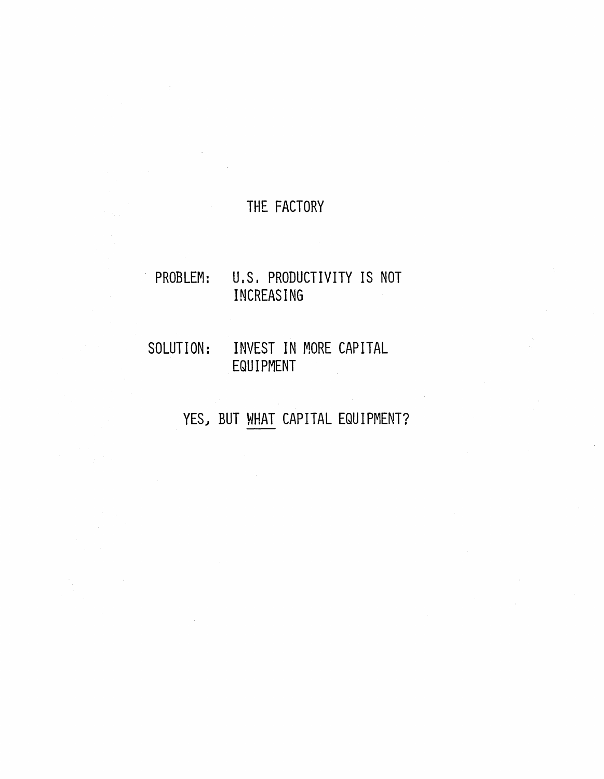#### THE FACTORY

### . PROBLEM: U.S. PRODUCTIVITY IS NOT INCREASING

#### SOLUTION: INVEST IN MORE CAPITAL EQUIPMENT

# YES, BUT WHAT CAPITAL EQUIPMENT?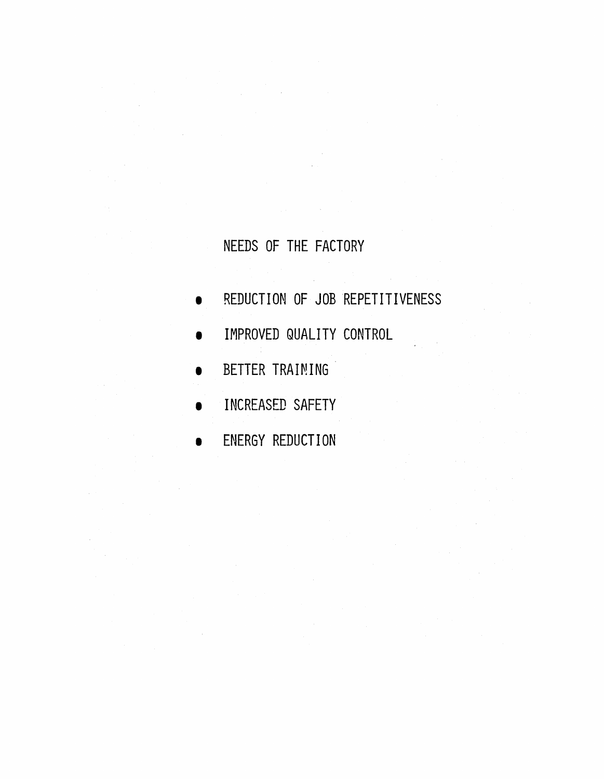# NEEDS OF THE FACTORY

- REDUCTION OF JOB REPETITIVENESS
- IMPROVED QUALITY CONTROL
- BETTER TRAINING
- INCREASED SAFETY
- ENERGY REDUCTION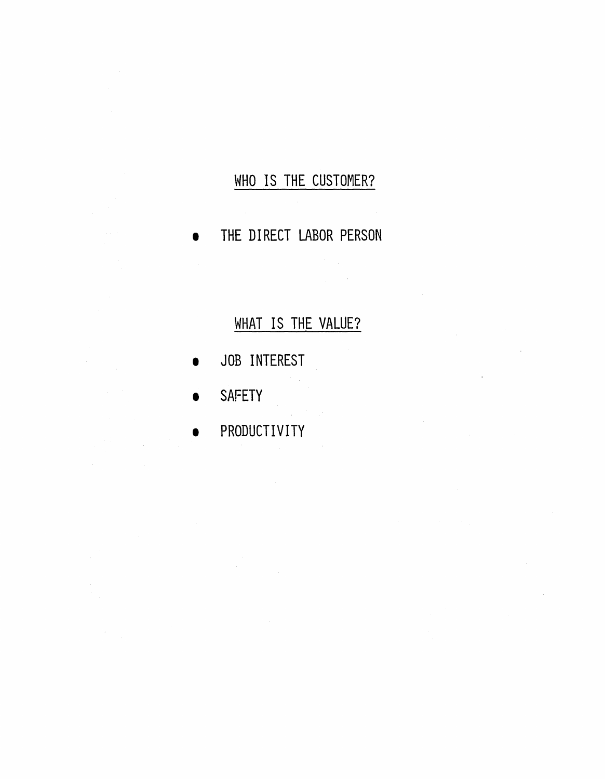# WHO IS THE CUSTOMER?

THE DIRECT LABOR PERSON

# WHAT IS THE VALUE?

- JOB INTEREST
- **SAFETY**

 $\bar{z}$ 

• PRODUCTIVITY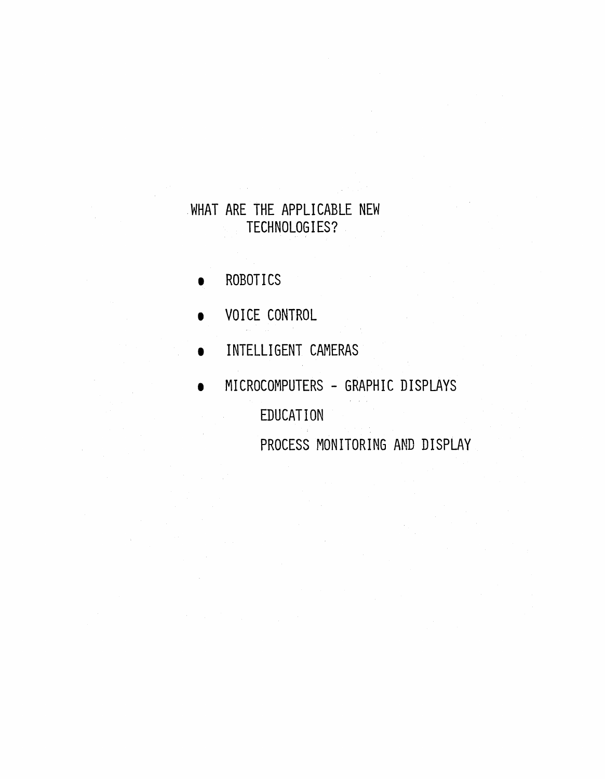#### .WHAT ARE THE APPLICABLE NEW TECHNOLOGIES?

- **ROBOTICS**
- VOICE CONTROL
- INTELLIGENT CAMERAS
- MICROCOMPUTERS GRAPHIC DISPLAYS EDUCATION PROCESS MONITORING AND DISPLAY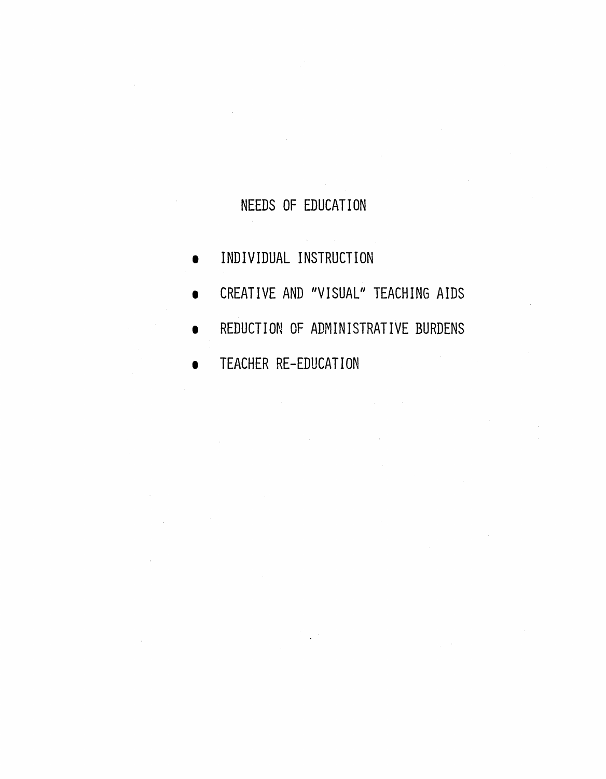### NEEDS OF EDUCATION

- INDIVIDUAL INSTRUCTION
- CREATIVE AND "VISUAL" TEACHING AIDS
- REDUCTION OF ADMINISTRATIVE BURDENS

 $\sim$ 

**• TEACHER RE-EDUCATION**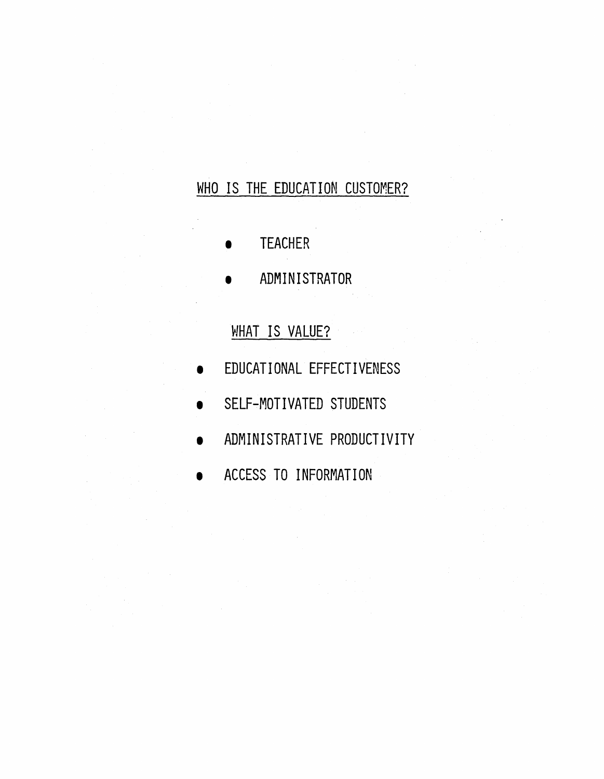# WHO IS THE EDUCATION CUSTOMER?

- **TEACHER**
- ADMINISTRATOR

### WHAT IS VALUE?

- EDUCATIONAL EFFECTIVENESS
- SELF-MOTIVATED STUDENTS
- ADMINISTRATIVE PRODUCTIVITY
- ACCESS TO INFORMATION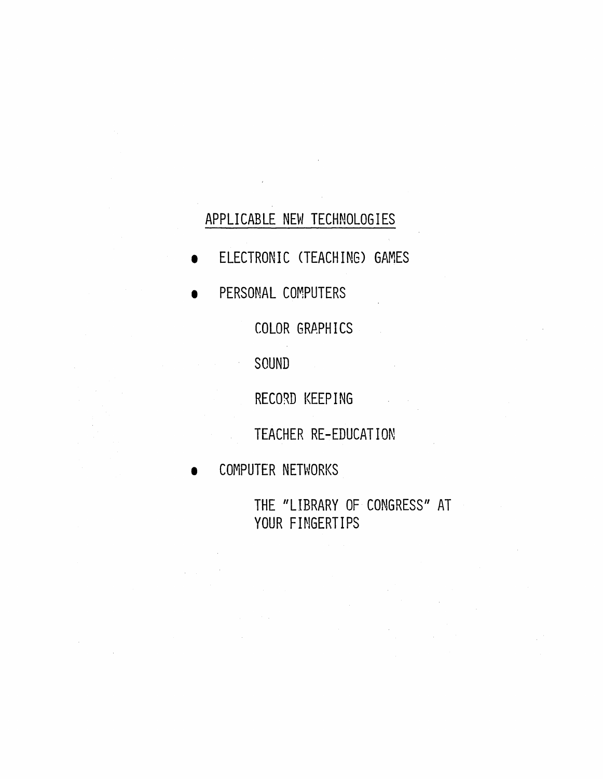#### APPLICABLE NEW TECHNOLOGIES

- **•** ELECTRONIC (TEACHING) GAMES
- PERSONAL COMPUTERS

COLOR GRAPHICS

SOUND

 $\mathcal{L}^{\pm}$ 

RECORD KEEPING

TEACHER RE-EDUCATION

• COMPUTER NETWORKS

THE "LIBRARY OF CONGRESS" AT YOUR FINGERTIPS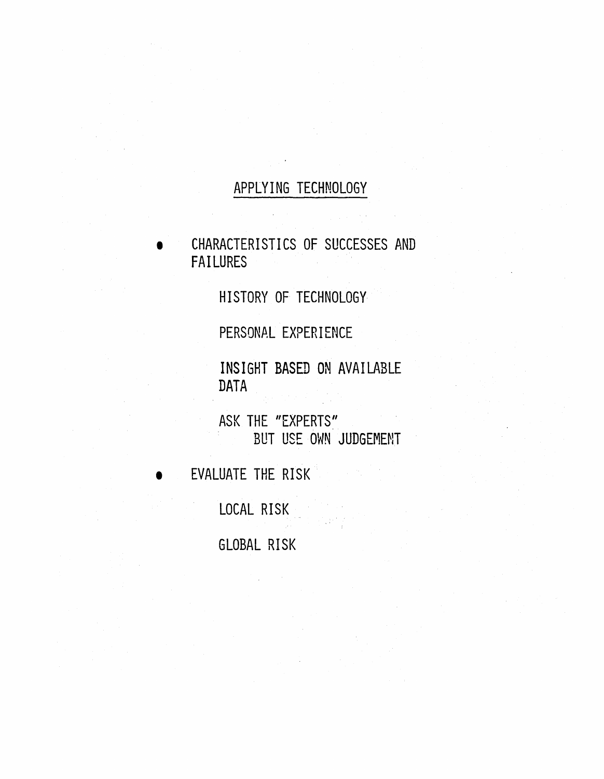#### APPLYING TECHNOLOGY

• CHARACTERISTICS OF SUCCESSES AND FAILURES

HISTORY OF TECHNOLOGY

PERSONAL EXPERIENCE

INSIGHT BASED ON AVAILABLE DATA

ASK THE "EXPERTS" BUT USE OWN JUDGEMENT

EVALUATE THE RISK

LOCAL RISK

GLOBAL RISK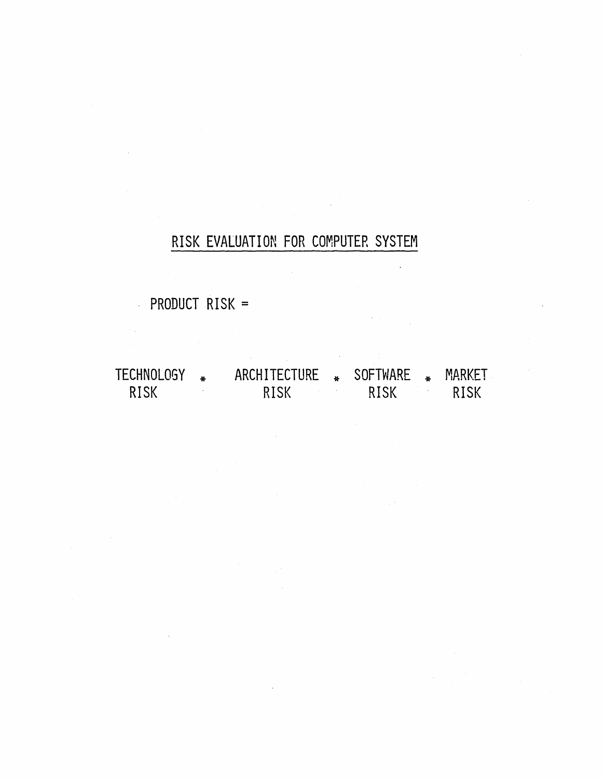#### RISK EVALUATION FOR COMPUTER SYSTEM

PRODUCT RISK =

TECHNOLOGY \* ARCHITECTURE \* SOFTWARE \* MARKET<br>RISK RISK RISK RISK RISK RISK RISK RISK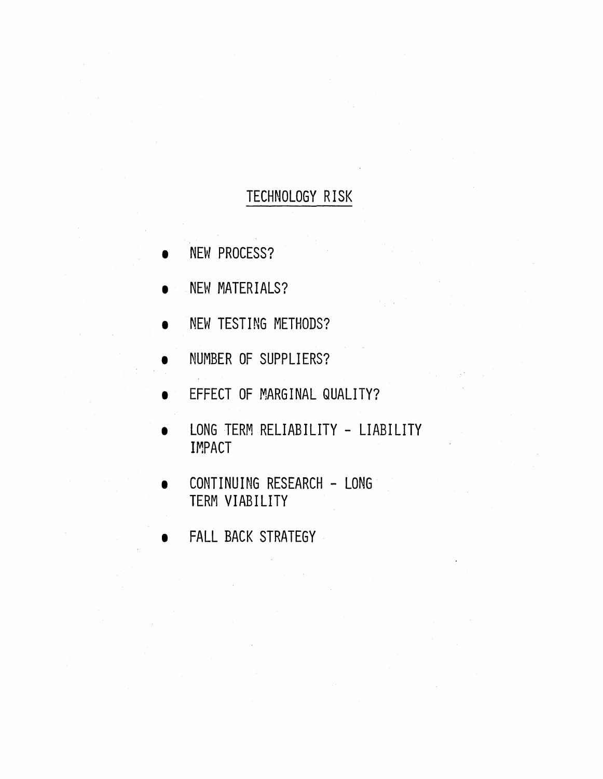# TECHNOLOGY RISK

- NEW PROCESS?
- NEW MATERIALS?
- NEW TESTING METHODS?
- **NUMBER OF SUPPLIERS?**
- **EFFECT OF MARGINAL QUALITY?**
- LONG TERM RELIABILITY LIABILITY IMPACT
- CONTINUING RESEARCH LONG TERM VIABILITY
- FALL BACK STRATEGY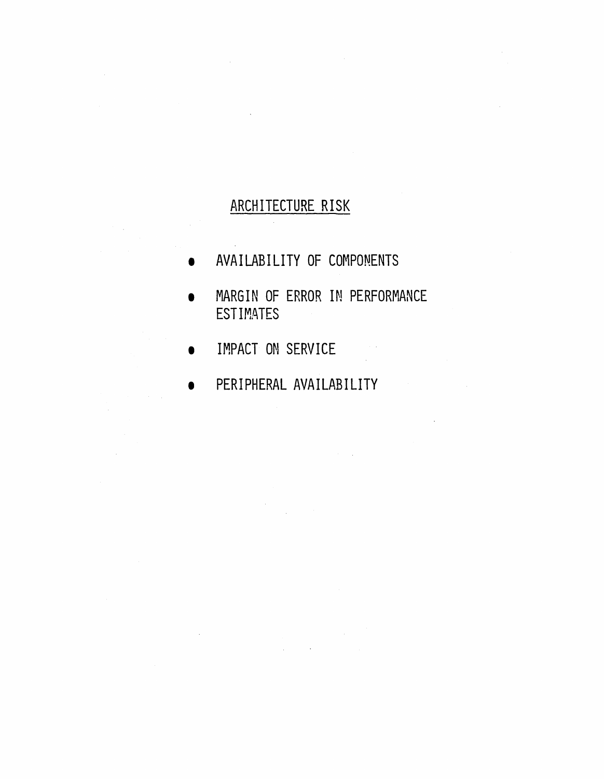# ARCHITECTURE RISK

- AVAILABILITY OF COMPONENTS
- MARGIN OF ERROR IN PERFORMANCE **ESTIMATES**

 $\sim 10^{11}$ 

 $\mathcal{A}^{\mathcal{A}}$  and

- **IMPACT ON SERVICE**
- PERIPHERAL AVAILABILITY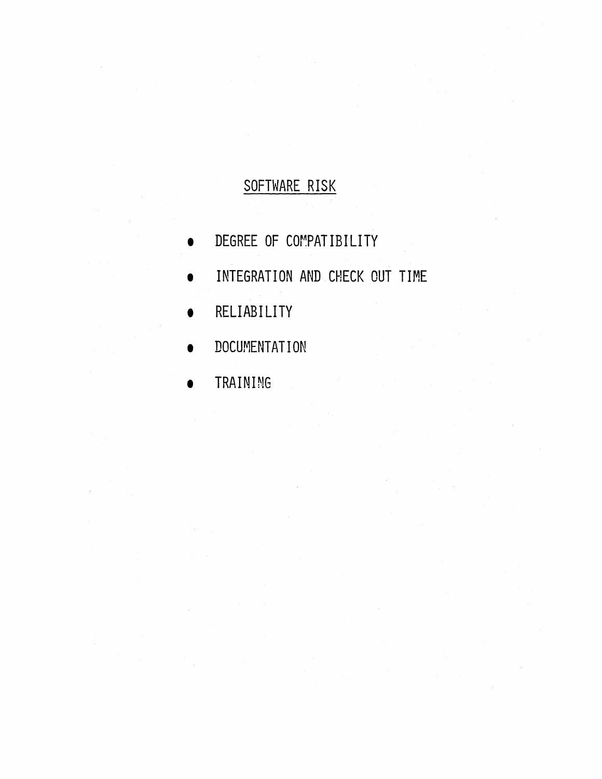# SOFTWARE RISK

- DEGREE OF COr~PATIBILITY
- **INTEGRATION AND CHECK OUT TIME**
- RELIABILITY
- DOCUMENTATION
- TRAINING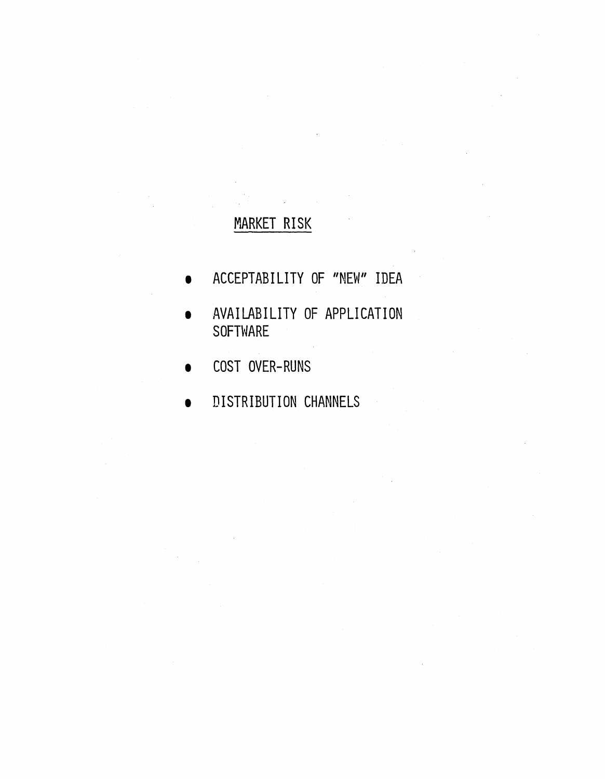### MARKET RISK

- ACCEPTABILITY OF "NEW" IDEA
- AVAILABILITY OF APPLICATION SOFTWARE

 $\sim$ 

- COST OVER-RUNS
- **DISTRIBUTION CHANNELS**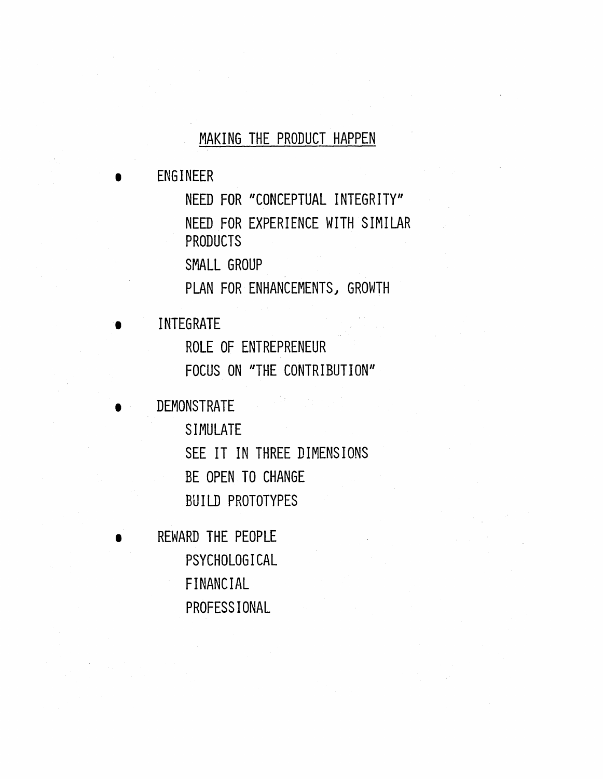#### MAKING THE PRODUCT HAPPEN

• ENGINEER

NEED FOR "CONCEPTUAL INTEGRITY" NEED FOR EXPERIENCE WITH SIMILAR PRODUCTS

SMALL GROUP

PLAN FOR ENHANCEMENTS) GROWTH

**INTEGRATE** 

ROLE OF ENTREPRENEUR FOCUS ON "THE CONTRIBUTION"

• DEMONSTRATE

SIMULATE SEE IT IN THREE DIMENSIONS BE OPEN TO CHANGE BUILD PROTOTYPES

• REWARD THE PEOPLE PSYCHOLOGICAL FINANCIAL PROFESSIONAL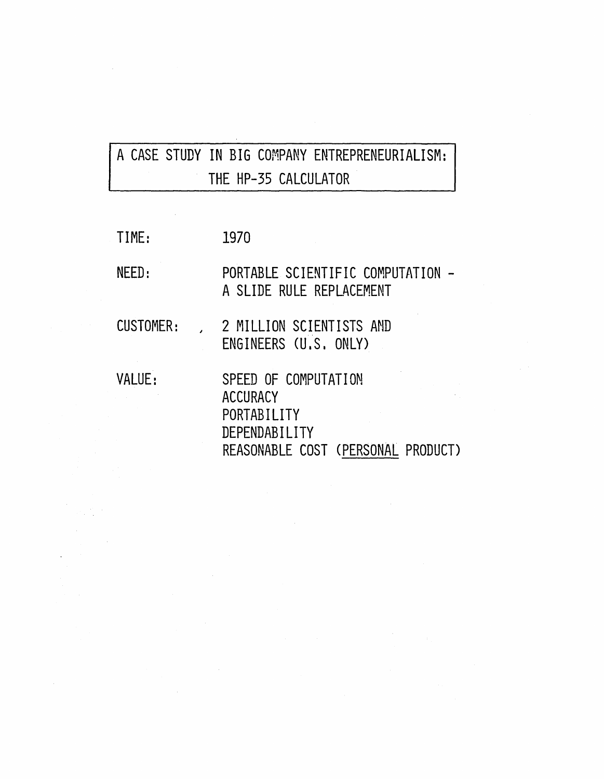# A CASE STUDY IN BIG COMPANY ENTREPRENEURIALISM: THE HP-35 CALCULATOR

 $\bar{\mathcal{A}}$ 

| TIME:     | 1970                                                                                                          |
|-----------|---------------------------------------------------------------------------------------------------------------|
| NEED:     | PORTABLE SCIENTIFIC COMPUTATION -<br>A SLIDE RULE REPLACEMENT                                                 |
| CUSTOMER: | 2 MILLION SCIENTISTS AND<br>ENGINEERS (U.S. ONLY)                                                             |
| VALUE:    | SPEED OF COMPUTATION<br><b>ACCURACY</b><br>PORTABILITY<br>DEPENDABILITY<br>REASONABLE COST (PERSONAL PRODUCT) |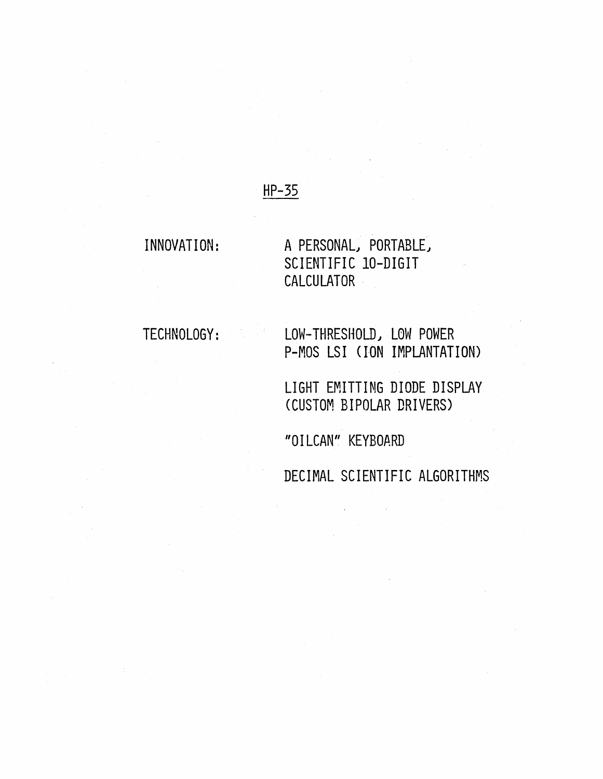#### HP-35

#### INNOVATION:

A PERSONAL, PORTABLE, SCIENTIFIC IO-DIGIT **CALCULATOR** 

TECHNOLOGY:

LOW-THRESHOLD, LOW POWER P-MOS LSI (ION IMPLANTATION)

LIGHT EMITTING DIODE DISPLAY (CUSTOM BIPOLAR DRIVERS)

"OILCAN" KEYBOARD

DECIMAL SCIENTIFIC ALGORITHMS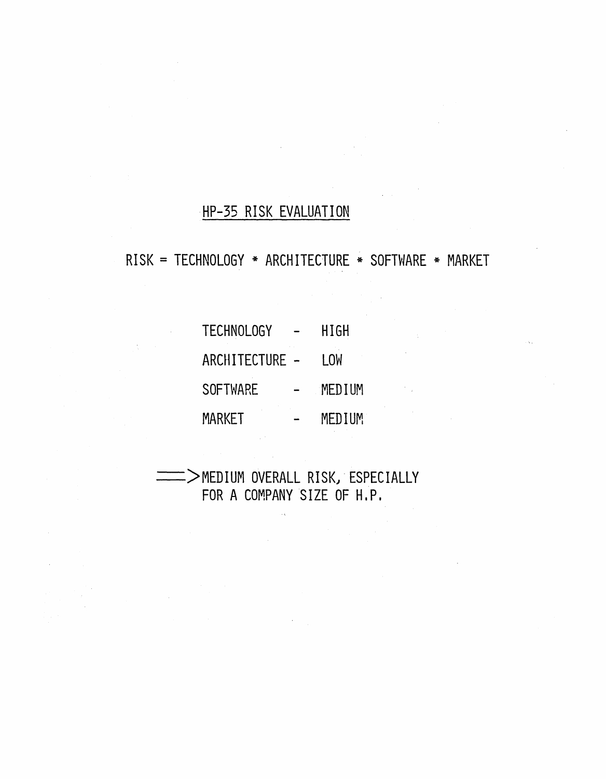### HP-35 RISK EVALUATION

RISK = TECHNOLOGY \* ARCHITECTURE \* SOFTWARE \* MARKET

TECHNOLOGY - HIGH ARCHITECTURE - LOW SOFTWARE - MEDIUM MARKET - MEDIUM

 $\Rightarrow$ MEDIUM OVERALL RISK, ESPECIALLY FOR A COMPANY SIZE OF H.P.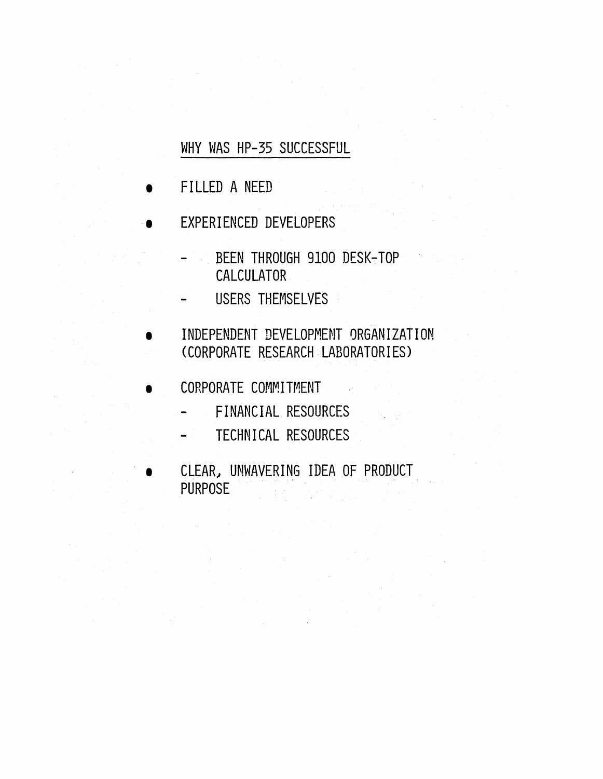WHY WAS HP-35 SUCCESSFUL

- FILLED A NEED
- EXPERIENCED DEVELOPERS
	- BEEN THROUGH 9100 DESK-TOP CALCULATOR
	- USERS THEMSELVES .
- INDEPENDENT DEVELOPMENT QRGANIZATION (CORPORATE RESEARCH LABORATORIES)
- CORPORATE COMMITMENT
	- FINANCIAL RESOURCES
	- TECHNICAL RESOURCES
	- CLEAR, UNWAVERING IDEA OF PRODUCT PURPOSE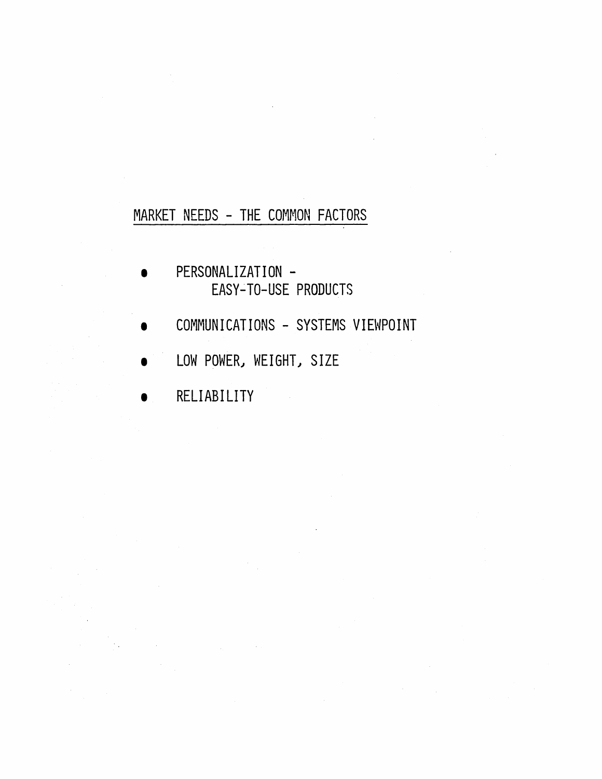### MARKET NEEDS - THE COMMON FACTORS

- PERSONALIZATION -EASY~TO-USE PRODUCTS
- COMMUNICATIONS SYSTEMS VIEWPOINT
- LOW POWER, WEIGHT, SIZE
- RELIABILITY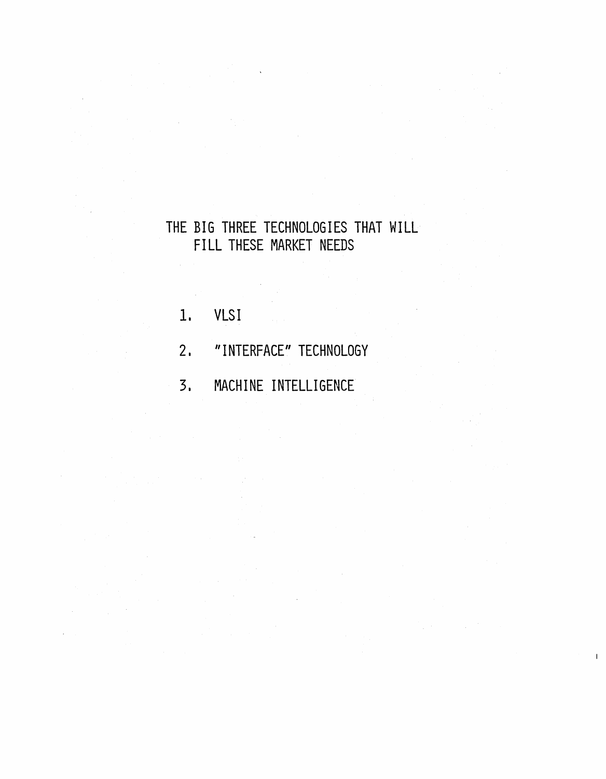### THE BIG THREE TECHNOLOGIES THAT WILL FILL THESE MARKET NEEDS

- 1. VLSI
- 2. "INTERFACE" TECHNOLOGY
- 3. MACHINE INTELLIGENCE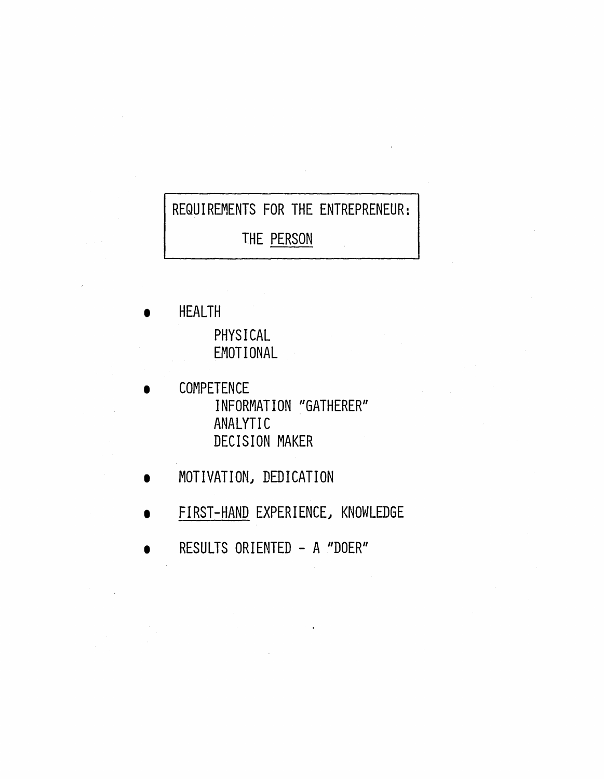# REQUIREMENTS FOR THE ENTREPRENEUR:

THE PERSON

**HEALTH** PHYSICAL EMOTIONAL

- **COMPETENCE** INFORMATION "GATHERER" ANALYTIC DECISION MAKER
- MOTIVATION, DEDICATION
- FIRST-HAND EXPERIENCE} KNOWLEDGE
- RESULTS ORIENTED A "DOER"